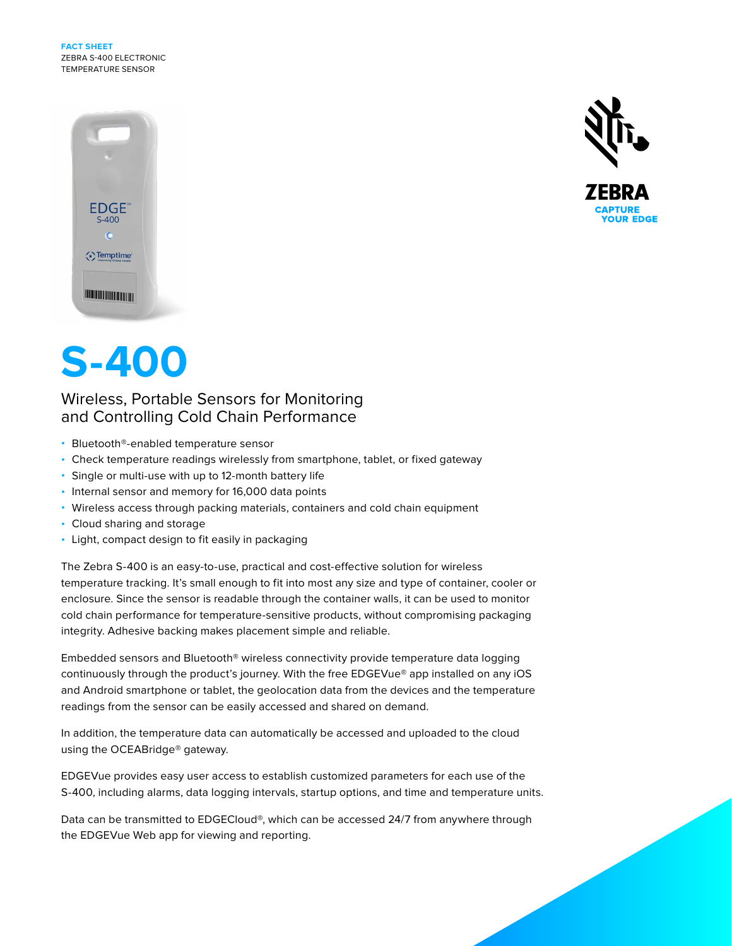**FACT SHEET** ZEBRA S-400 ELECTRONIC TEMPERATURE SENSOR





# **S-400**

## Wireless, Portable Sensors for Monitoring and Controlling Cold Chain Performance

- Bluetooth®-enabled temperature sensor
- Check temperature readings wirelessly from smartphone, tablet, or fixed gateway
- Single or multi-use with up to 12-month battery life
- Internal sensor and memory for 16,000 data points
- Wireless access through packing materials, containers and cold chain equipment
- Cloud sharing and storage
- Light, compact design to fit easily in packaging

The Zebra S-400 is an easy-to-use, practical and cost-effective solution for wireless temperature tracking. It's small enough to fit into most any size and type of container, cooler or enclosure. Since the sensor is readable through the container walls, it can be used to monitor cold chain performance for temperature-sensitive products, without compromising packaging integrity. Adhesive backing makes placement simple and reliable.

Embedded sensors and Bluetooth® wireless connectivity provide temperature data logging continuously through the product's journey. With the free EDGEVue® app installed on any iOS and Android smartphone or tablet, the geolocation data from the devices and the temperature readings from the sensor can be easily accessed and shared on demand.

In addition, the temperature data can automatically be accessed and uploaded to the cloud using the OCEABridge® gateway.

EDGEVue provides easy user access to establish customized parameters for each use of the S-400, including alarms, data logging intervals, startup options, and time and temperature units.

Data can be transmitted to EDGECloud®, which can be accessed 24/7 from anywhere through the EDGEVue Web app for viewing and reporting.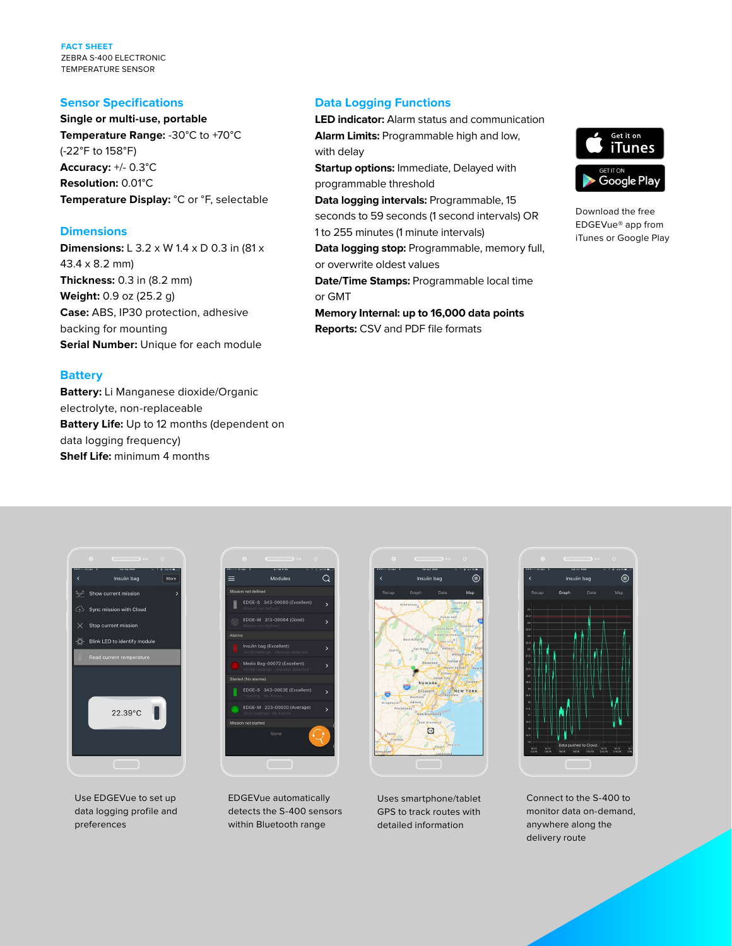**FACT SHEET** ZEBRA S-400 ELECTRONIC TEMPERATURE SENSOR

#### **Sensor Specifications**

**Single or multi-use, portable Temperature Range:** -30°C to +70°C (-22°F to 158°F) **Accuracy:** +/- 0.3°C **Resolution:** 0.01°C **Temperature Display:** °C or °F, selectable

#### **Dimensions**

**Dimensions:** L 3.2 x W 1.4 x D 0.3 in (81 x 43.4 x 8.2 mm) **Thickness:** 0.3 in (8.2 mm) **Weight:** 0.9 oz (25.2 g) **Case:** ABS, IP30 protection, adhesive backing for mounting **Serial Number:** Unique for each module

#### **Battery**

**Battery:** Li Manganese dioxide/Organic electrolyte, non-replaceable **Battery Life:** Up to 12 months (dependent on data logging frequency) **Shelf Life:** minimum 4 months

#### **Data Logging Functions**

**LED indicator:** Alarm status and communication **Alarm Limits:** Programmable high and low, with delay

**Startup options:** Immediate, Delayed with programmable threshold

**Data logging intervals:** Programmable, 15 seconds to 59 seconds (1 second intervals) OR 1 to 255 minutes (1 minute intervals)

**Data logging stop:** Programmable, memory full, or overwrite oldest values **Date/Time Stamps:** Programmable local time

or GMT **Memory Internal: up to 16,000 data points**

**Reports:** CSV and PDF file formats



Download the free EDGEVue® app from iTunes or Google Play



Use EDGEVue to set up data logging profile and preferences



EDGEVue automatically detects the S-400 sensors within Bluetooth range



Uses smartphone/tablet GPS to track routes with detailed information



Connect to the S-400 to monitor data on-demand, anywhere along the delivery route